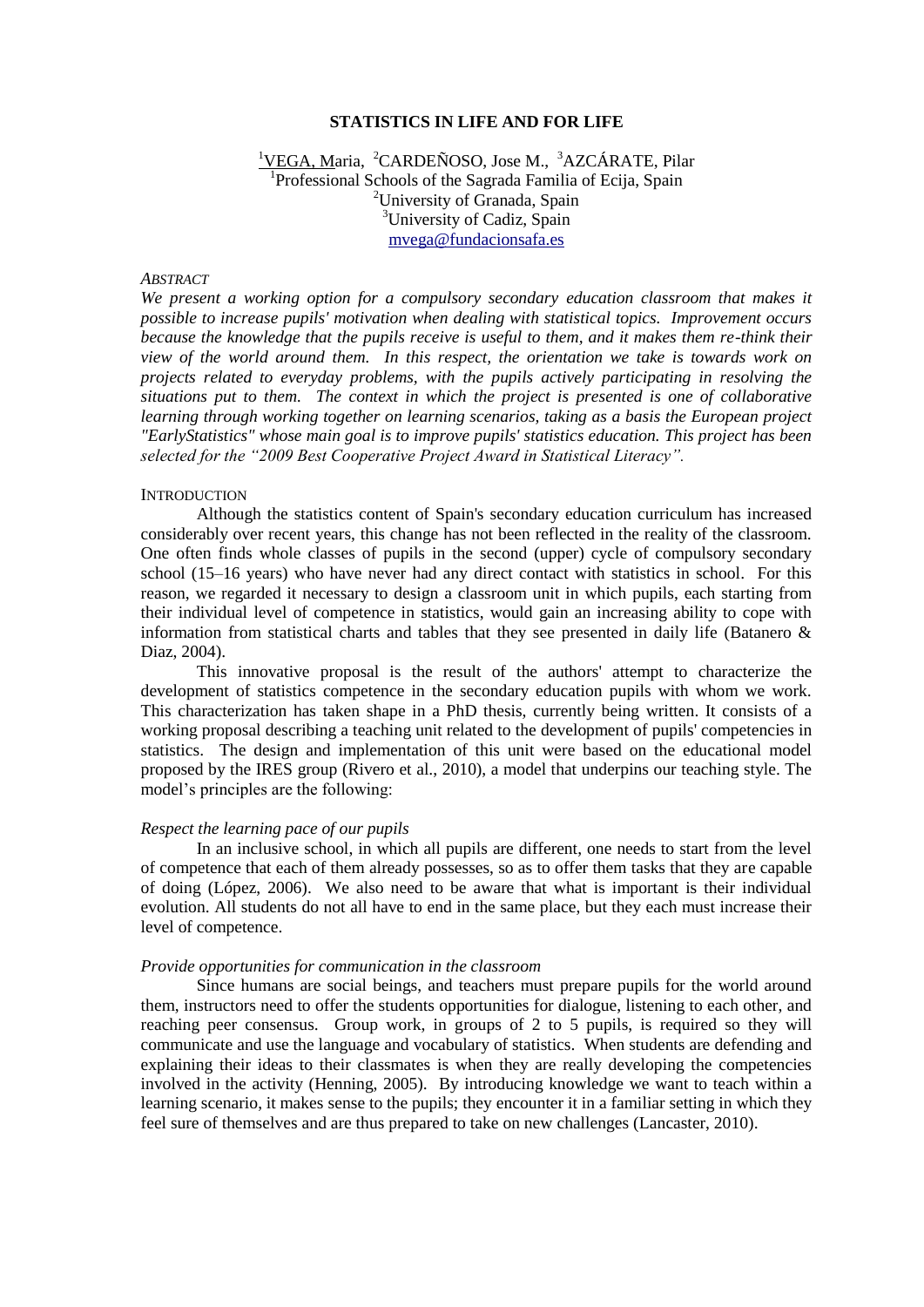### **STATISTICS IN LIFE AND FOR LIFE**

<sup>1</sup>VEGA, Maria, <sup>2</sup>CARDEÑOSO, Jose M., <sup>3</sup>AZCÁRATE, Pilar <sup>1</sup>Professional Schools of the Sagrada Familia of Ecija, Spain <sup>2</sup>University of Granada, Spain <sup>3</sup>University of Cadiz, Spain [mvega@fundacionsafa.es](mailto:mvega@fundacionsafa.es)

## *ABSTRACT*

*We present a working option for a compulsory secondary education classroom that makes it possible to increase pupils' motivation when dealing with statistical topics. Improvement occurs because the knowledge that the pupils receive is useful to them, and it makes them re-think their view of the world around them. In this respect, the orientation we take is towards work on projects related to everyday problems, with the pupils actively participating in resolving the situations put to them. The context in which the project is presented is one of collaborative learning through working together on learning scenarios, taking as a basis the European project "EarlyStatistics" whose main goal is to improve pupils' statistics education. This project has been selected for the "2009 Best Cooperative Project Award in Statistical Literacy".* 

### **INTRODUCTION**

Although the statistics content of Spain's secondary education curriculum has increased considerably over recent years, this change has not been reflected in the reality of the classroom. One often finds whole classes of pupils in the second (upper) cycle of compulsory secondary school (15–16 years) who have never had any direct contact with statistics in school. For this reason, we regarded it necessary to design a classroom unit in which pupils, each starting from their individual level of competence in statistics, would gain an increasing ability to cope with information from statistical charts and tables that they see presented in daily life (Batanero  $\&$ Diaz, 2004).

This innovative proposal is the result of the authors' attempt to characterize the development of statistics competence in the secondary education pupils with whom we work. This characterization has taken shape in a PhD thesis, currently being written. It consists of a working proposal describing a teaching unit related to the development of pupils' competencies in statistics. The design and implementation of this unit were based on the educational model proposed by the IRES group (Rivero et al., 2010), a model that underpins our teaching style. The model's principles are the following:

# *Respect the learning pace of our pupils*

In an inclusive school, in which all pupils are different, one needs to start from the level of competence that each of them already possesses, so as to offer them tasks that they are capable of doing (López, 2006). We also need to be aware that what is important is their individual evolution. All students do not all have to end in the same place, but they each must increase their level of competence.

#### *Provide opportunities for communication in the classroom*

Since humans are social beings, and teachers must prepare pupils for the world around them, instructors need to offer the students opportunities for dialogue, listening to each other, and reaching peer consensus. Group work, in groups of 2 to 5 pupils, is required so they will communicate and use the language and vocabulary of statistics. When students are defending and explaining their ideas to their classmates is when they are really developing the competencies involved in the activity (Henning, 2005). By introducing knowledge we want to teach within a learning scenario, it makes sense to the pupils; they encounter it in a familiar setting in which they feel sure of themselves and are thus prepared to take on new challenges (Lancaster, 2010).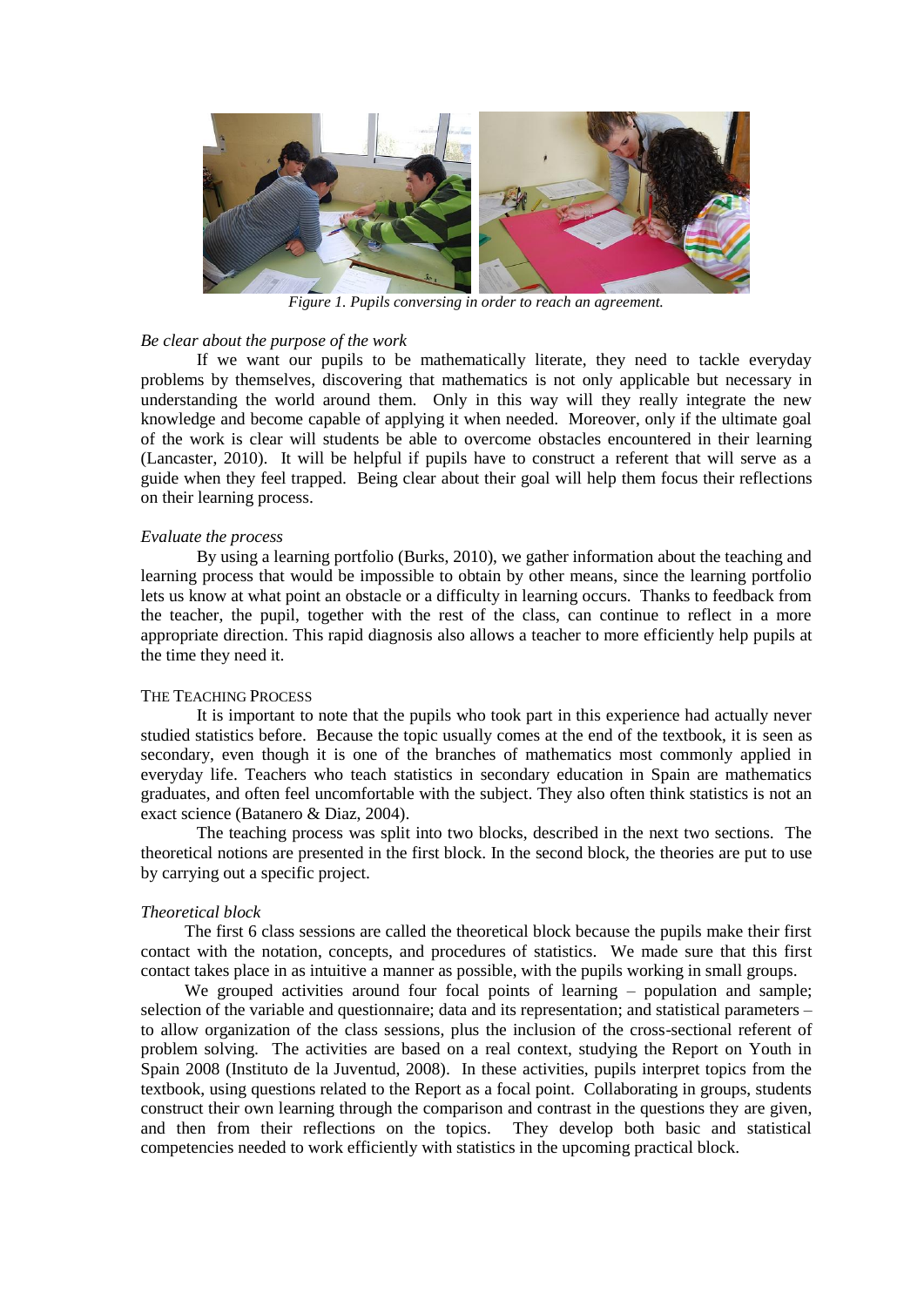

*Figure 1. Pupils conversing in order to reach an agreement.*

#### *Be clear about the purpose of the work*

If we want our pupils to be mathematically literate, they need to tackle everyday problems by themselves, discovering that mathematics is not only applicable but necessary in understanding the world around them. Only in this way will they really integrate the new knowledge and become capable of applying it when needed. Moreover, only if the ultimate goal of the work is clear will students be able to overcome obstacles encountered in their learning (Lancaster, 2010). It will be helpful if pupils have to construct a referent that will serve as a guide when they feel trapped. Being clear about their goal will help them focus their reflections on their learning process.

## *Evaluate the process*

By using a learning portfolio (Burks, 2010), we gather information about the teaching and learning process that would be impossible to obtain by other means, since the learning portfolio lets us know at what point an obstacle or a difficulty in learning occurs. Thanks to feedback from the teacher, the pupil, together with the rest of the class, can continue to reflect in a more appropriate direction. This rapid diagnosis also allows a teacher to more efficiently help pupils at the time they need it.

## THE TEACHING PROCESS

It is important to note that the pupils who took part in this experience had actually never studied statistics before. Because the topic usually comes at the end of the textbook, it is seen as secondary, even though it is one of the branches of mathematics most commonly applied in everyday life. Teachers who teach statistics in secondary education in Spain are mathematics graduates, and often feel uncomfortable with the subject. They also often think statistics is not an exact science (Batanero & Diaz, 2004).

The teaching process was split into two blocks, described in the next two sections. The theoretical notions are presented in the first block. In the second block, the theories are put to use by carrying out a specific project.

## *Theoretical block*

The first 6 class sessions are called the theoretical block because the pupils make their first contact with the notation, concepts, and procedures of statistics. We made sure that this first contact takes place in as intuitive a manner as possible, with the pupils working in small groups.

We grouped activities around four focal points of learning – population and sample; selection of the variable and questionnaire; data and its representation; and statistical parameters – to allow organization of the class sessions, plus the inclusion of the cross-sectional referent of problem solving. The activities are based on a real context, studying the Report on Youth in Spain 2008 (Instituto de la Juventud, 2008). In these activities, pupils interpret topics from the textbook, using questions related to the Report as a focal point. Collaborating in groups, students construct their own learning through the comparison and contrast in the questions they are given, and then from their reflections on the topics. They develop both basic and statistical competencies needed to work efficiently with statistics in the upcoming practical block.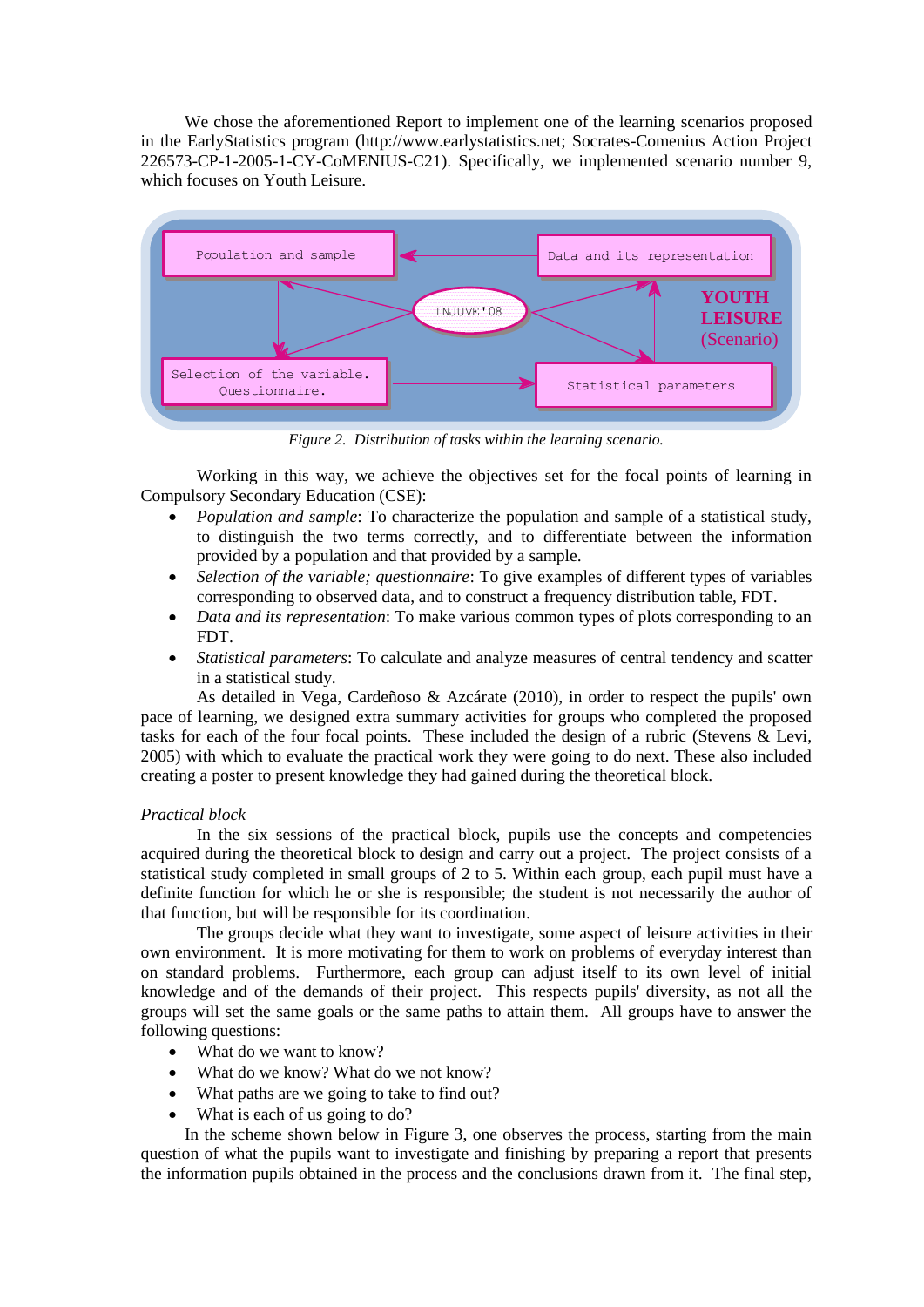We chose the aforementioned Report to implement one of the learning scenarios proposed in the EarlyStatistics program (http://www.earlystatistics.net; Socrates-Comenius Action Project 226573-CP-1-2005-1-CY-CoMENIUS-C21). Specifically, we implemented scenario number 9, which focuses on Youth Leisure.



*Figure 2. Distribution of tasks within the learning scenario.*

Working in this way, we achieve the objectives set for the focal points of learning in Compulsory Secondary Education (CSE):

- *Population and sample*: To characterize the population and sample of a statistical study, to distinguish the two terms correctly, and to differentiate between the information provided by a population and that provided by a sample.
- *Selection of the variable; questionnaire*: To give examples of different types of variables corresponding to observed data, and to construct a frequency distribution table, FDT.
- *Data and its representation*: To make various common types of plots corresponding to an FDT.
- *Statistical parameters*: To calculate and analyze measures of central tendency and scatter in a statistical study.

As detailed in Vega, Cardeñoso & Azcárate (2010), in order to respect the pupils' own pace of learning, we designed extra summary activities for groups who completed the proposed tasks for each of the four focal points. These included the design of a rubric (Stevens & Levi, 2005) with which to evaluate the practical work they were going to do next. These also included creating a poster to present knowledge they had gained during the theoretical block.

## *Practical block*

In the six sessions of the practical block, pupils use the concepts and competencies acquired during the theoretical block to design and carry out a project. The project consists of a statistical study completed in small groups of 2 to 5. Within each group, each pupil must have a definite function for which he or she is responsible; the student is not necessarily the author of that function, but will be responsible for its coordination.

The groups decide what they want to investigate, some aspect of leisure activities in their own environment. It is more motivating for them to work on problems of everyday interest than on standard problems. Furthermore, each group can adjust itself to its own level of initial knowledge and of the demands of their project. This respects pupils' diversity, as not all the groups will set the same goals or the same paths to attain them. All groups have to answer the following questions:

- What do we want to know?
- What do we know? What do we not know?
- What paths are we going to take to find out?
- What is each of us going to do?

In the scheme shown below in Figure 3, one observes the process, starting from the main question of what the pupils want to investigate and finishing by preparing a report that presents the information pupils obtained in the process and the conclusions drawn from it. The final step,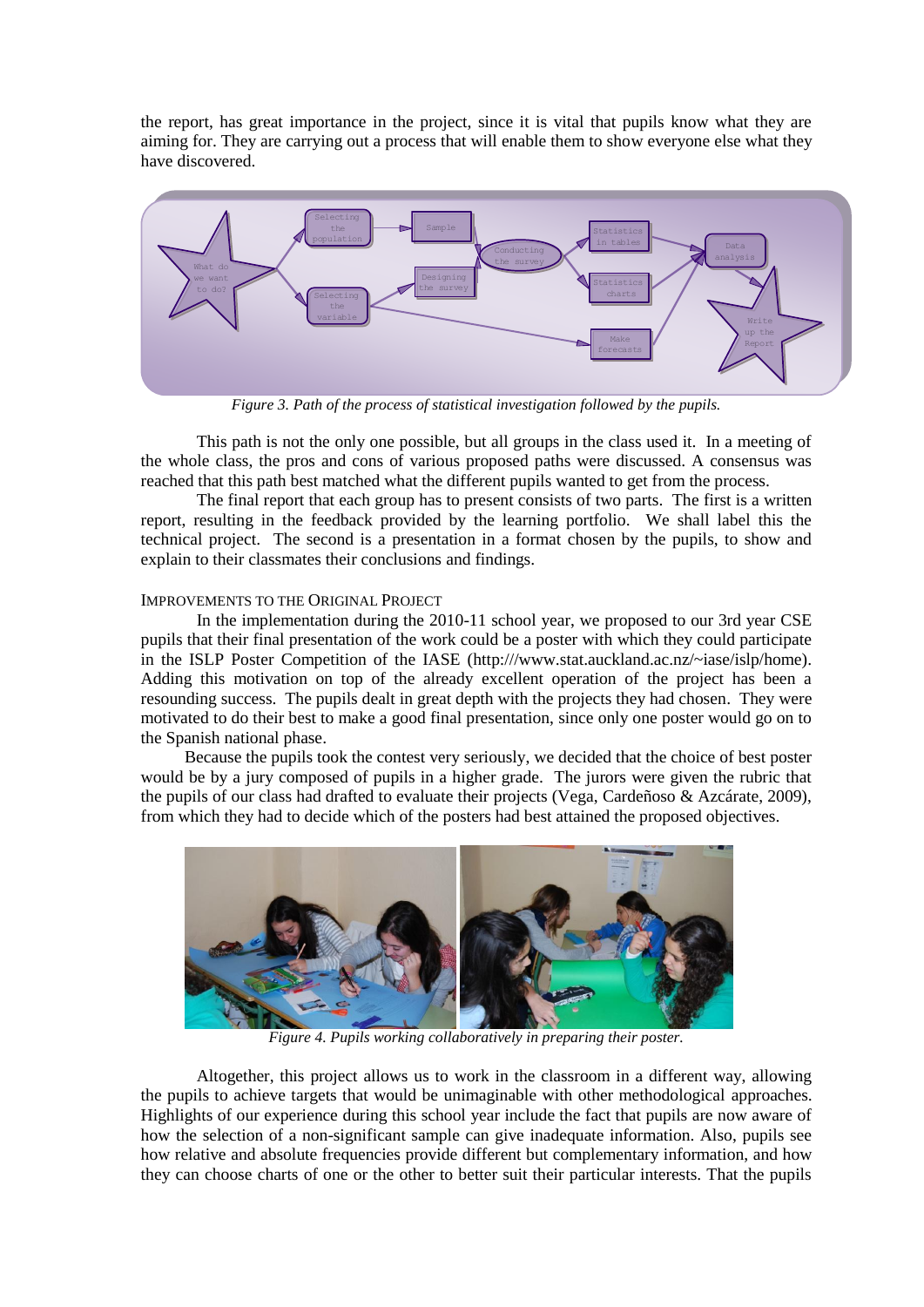the report, has great importance in the project, since it is vital that pupils know what they are aiming for. They are carrying out a process that will enable them to show everyone else what they have discovered.



*Figure 3. Path of the process of statistical investigation followed by the pupils.*

This path is not the only one possible, but all groups in the class used it. In a meeting of the whole class, the pros and cons of various proposed paths were discussed. A consensus was reached that this path best matched what the different pupils wanted to get from the process.

The final report that each group has to present consists of two parts. The first is a written report, resulting in the feedback provided by the learning portfolio. We shall label this the technical project. The second is a presentation in a format chosen by the pupils, to show and explain to their classmates their conclusions and findings.

# IMPROVEMENTS TO THE ORIGINAL PROJECT

In the implementation during the 2010-11 school year, we proposed to our 3rd year CSE pupils that their final presentation of the work could be a poster with which they could participate in the ISLP Poster Competition of the IASE (http:///www.stat.auckland.ac.nz/~iase/islp/home). Adding this motivation on top of the already excellent operation of the project has been a resounding success. The pupils dealt in great depth with the projects they had chosen. They were motivated to do their best to make a good final presentation, since only one poster would go on to the Spanish national phase.

Because the pupils took the contest very seriously, we decided that the choice of best poster would be by a jury composed of pupils in a higher grade. The jurors were given the rubric that the pupils of our class had drafted to evaluate their projects (Vega, Cardeñoso & Azcárate, 2009), from which they had to decide which of the posters had best attained the proposed objectives.



*Figure 4. Pupils working collaboratively in preparing their poster.*

Altogether, this project allows us to work in the classroom in a different way, allowing the pupils to achieve targets that would be unimaginable with other methodological approaches. Highlights of our experience during this school year include the fact that pupils are now aware of how the selection of a non-significant sample can give inadequate information. Also, pupils see how relative and absolute frequencies provide different but complementary information, and how they can choose charts of one or the other to better suit their particular interests. That the pupils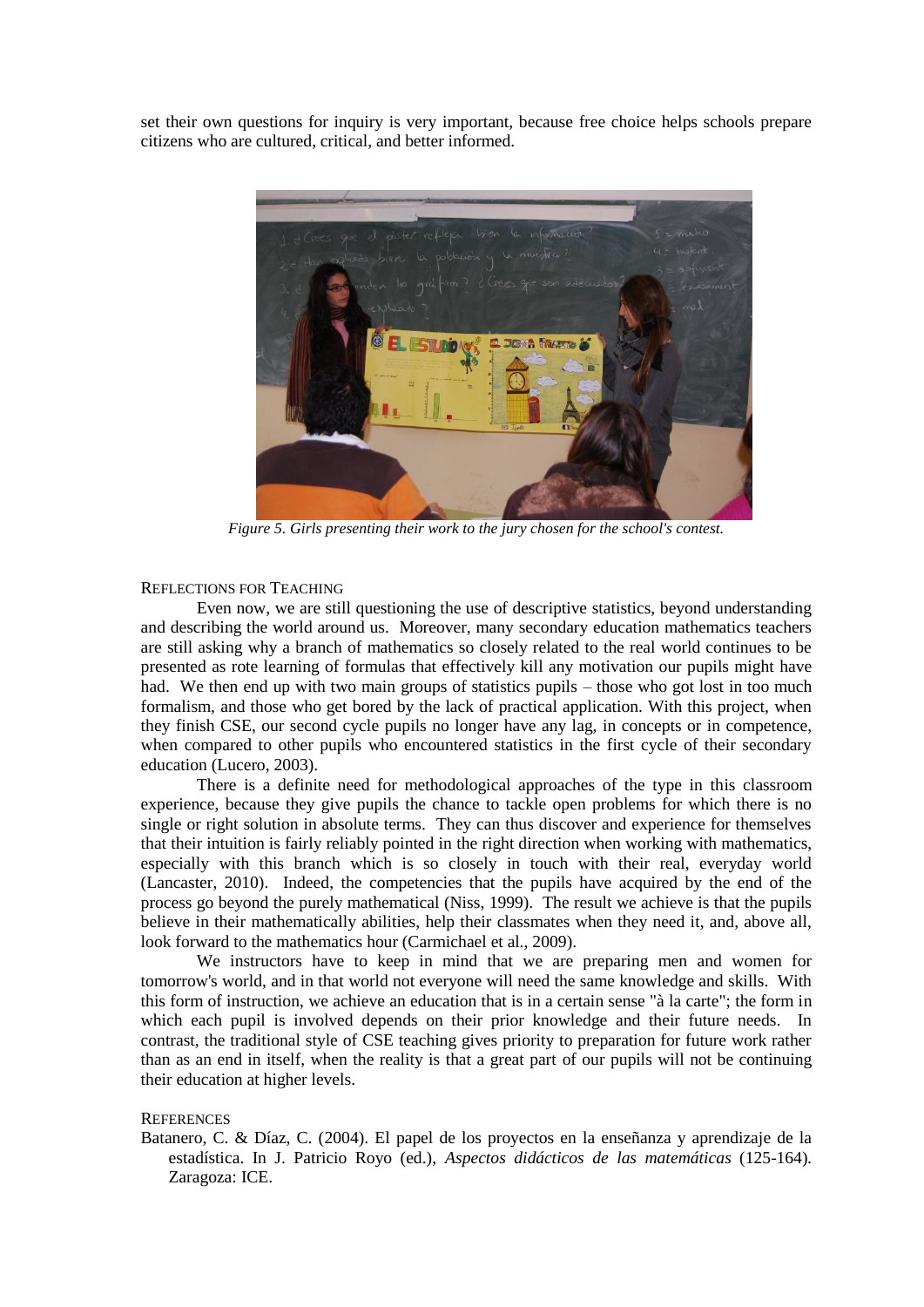set their own questions for inquiry is very important, because free choice helps schools prepare citizens who are cultured, critical, and better informed.



*Figure 5. Girls presenting their work to the jury chosen for the school's contest.*

### REFLECTIONS FOR TEACHING

Even now, we are still questioning the use of descriptive statistics, beyond understanding and describing the world around us. Moreover, many secondary education mathematics teachers are still asking why a branch of mathematics so closely related to the real world continues to be presented as rote learning of formulas that effectively kill any motivation our pupils might have had. We then end up with two main groups of statistics pupils – those who got lost in too much formalism, and those who get bored by the lack of practical application. With this project, when they finish CSE, our second cycle pupils no longer have any lag, in concepts or in competence, when compared to other pupils who encountered statistics in the first cycle of their secondary education (Lucero, 2003).

There is a definite need for methodological approaches of the type in this classroom experience, because they give pupils the chance to tackle open problems for which there is no single or right solution in absolute terms. They can thus discover and experience for themselves that their intuition is fairly reliably pointed in the right direction when working with mathematics, especially with this branch which is so closely in touch with their real, everyday world (Lancaster, 2010). Indeed, the competencies that the pupils have acquired by the end of the process go beyond the purely mathematical (Niss, 1999). The result we achieve is that the pupils believe in their mathematically abilities, help their classmates when they need it, and, above all, look forward to the mathematics hour (Carmichael et al., 2009).

We instructors have to keep in mind that we are preparing men and women for tomorrow's world, and in that world not everyone will need the same knowledge and skills. With this form of instruction, we achieve an education that is in a certain sense "à la carte"; the form in which each pupil is involved depends on their prior knowledge and their future needs. In contrast, the traditional style of CSE teaching gives priority to preparation for future work rather than as an end in itself, when the reality is that a great part of our pupils will not be continuing their education at higher levels.

### **REFERENCES**

Batanero, C. & Díaz, C. (2004). El papel de los proyectos en la enseñanza y aprendizaje de la estadística. In J. Patricio Royo (ed.), *Aspectos didácticos de las matemáticas* (125-164)*.*  Zaragoza: ICE.